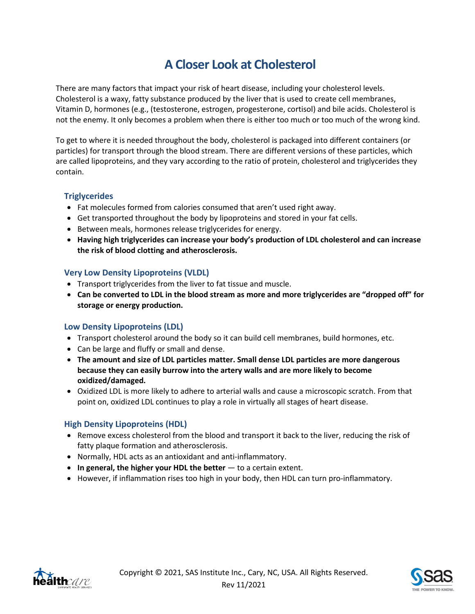# **A Closer Look at Cholesterol**

There are many factors that impact your risk of heart disease, including your cholesterol levels. Cholesterol is a waxy, fatty substance produced by the liver that is used to create cell membranes, Vitamin D, hormones (e.g., (testosterone, estrogen, progesterone, cortisol) and bile acids. Cholesterol is not the enemy. It only becomes a problem when there is either too much or too much of the wrong kind.

To get to where it is needed throughout the body, cholesterol is packaged into different containers (or particles) for transport through the blood stream. There are different versions of these particles, which are called lipoproteins, and they vary according to the ratio of protein, cholesterol and triglycerides they contain.

### **Triglycerides**

- Fat molecules formed from calories consumed that aren't used right away.
- Get transported throughout the body by lipoproteins and stored in your fat cells.
- Between meals, hormones release triglycerides for energy.
- **Having high triglycerides can increase your body's production of LDL cholesterol and can increase the risk of blood clotting and atherosclerosis.**

### **Very Low Density Lipoproteins (VLDL)**

- Transport triglycerides from the liver to fat tissue and muscle.
- **Can be converted to LDL in the blood stream as more and more triglycerides are "dropped off" for storage or energy production.**

### **Low Density Lipoproteins (LDL)**

- Transport cholesterol around the body so it can build cell membranes, build hormones, etc.
- Can be large and fluffy or small and dense.
- **The amount and size of LDL particles matter. Small dense LDL particles are more dangerous because they can easily burrow into the artery walls and are more likely to become oxidized/damaged.**
- Oxidized LDL is more likely to adhere to arterial walls and cause a microscopic scratch. From that point on, oxidized LDL continues to play a role in virtually all stages of heart disease.

### **High Density Lipoproteins (HDL)**

- Remove excess cholesterol from the blood and transport it back to the liver, reducing the risk of fatty plaque formation and atherosclerosis.
- Normally, HDL acts as an antioxidant and anti-inflammatory.
- **In general, the higher your HDL the better** to a certain extent.
- However, if inflammation rises too high in your body, then HDL can turn pro-inflammatory.



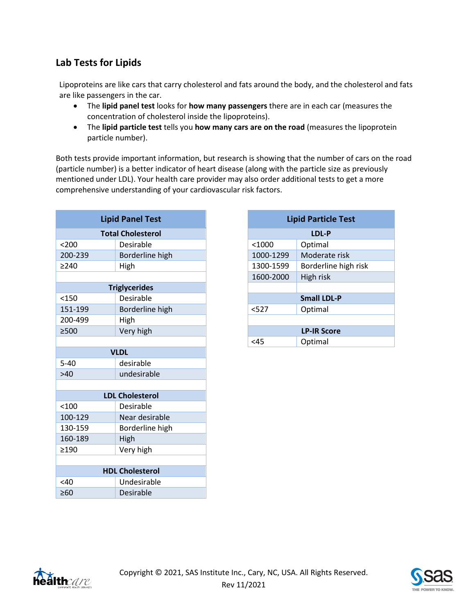## **Lab Tests for Lipids**

Lipoproteins are like cars that carry cholesterol and fats around the body, and the cholesterol and fats are like passengers in the car.

- The **lipid panel test** looks for **how many passengers** there are in each car (measures the concentration of cholesterol inside the lipoproteins).
- The **lipid particle test** tells you **how many cars are on the road** (measures the lipoprotein particle number).

Both tests provide important information, but research is showing that the number of cars on the road (particle number) is a better indicator of heart disease (along with the particle size as previously mentioned under LDL). Your health care provider may also order additional tests to get a more comprehensive understanding of your cardiovascular risk factors.

| <b>Lipid Panel Test</b>  |                 |
|--------------------------|-----------------|
| <b>Total Cholesterol</b> |                 |
|                          |                 |
| < 200                    | Desirable       |
| 200-239                  | Borderline high |
| >240                     | High            |
|                          |                 |
| <b>Triglycerides</b>     |                 |
| < 150                    | Desirable       |
| 151-199                  | Borderline high |
| 200-499                  | High            |
| $\geq$ 500               | Very high       |
|                          |                 |
| <b>VLDL</b>              |                 |
| $5 - 40$                 | desirable       |
| >40                      | undesirable     |
|                          |                 |
| <b>LDL Cholesterol</b>   |                 |
| < 100                    | Desirable       |
| 100-129                  | Near desirable  |
| 130-159                  | Borderline high |
| 160-189                  | High            |
| >190                     | Very high       |
|                          |                 |
| <b>HDL Cholesterol</b>   |                 |
| $<$ 40                   | Undesirable     |
| $\geq 60$                | Desirable       |
|                          |                 |

| <b>Lipid Particle Test</b> |                      |  |  |
|----------------------------|----------------------|--|--|
| LDL-P                      |                      |  |  |
| $<$ 1000                   | Optimal              |  |  |
| 1000-1299                  | Moderate risk        |  |  |
| 1300-1599                  | Borderline high risk |  |  |
| 1600-2000                  | High risk            |  |  |
|                            |                      |  |  |
| <b>Small LDL-P</b>         |                      |  |  |
| $527$                      | Optimal              |  |  |
|                            |                      |  |  |
| <b>LP-IR Score</b>         |                      |  |  |
| <45                        | Optimal              |  |  |



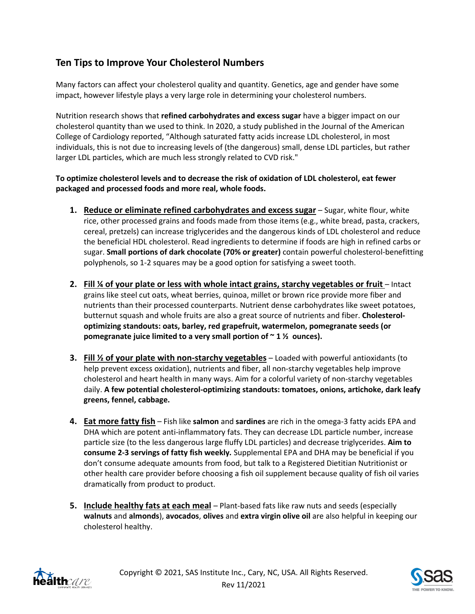## **Ten Tips to Improve Your Cholesterol Numbers**

Many factors can affect your cholesterol quality and quantity. Genetics, age and gender have some impact, however lifestyle plays a very large role in determining your cholesterol numbers.

Nutrition research shows that **refined carbohydrates and excess sugar** have a bigger impact on our cholesterol quantity than we used to think. In 2020, a study published in the Journal of the American College of Cardiology reported, "Although saturated fatty acids increase LDL cholesterol, in most individuals, this is not due to increasing levels of (the dangerous) small, dense LDL particles, but rather larger LDL particles, which are much less strongly related to CVD risk."

### **To optimize cholesterol levels and to decrease the risk of oxidation of LDL cholesterol, eat fewer packaged and processed foods and more real, whole foods.**

- **1. Reduce or eliminate refined carbohydrates and excess sugar** Sugar, white flour, white rice, other processed grains and foods made from those items (e.g., white bread, pasta, crackers, cereal, pretzels) can increase triglycerides and the dangerous kinds of LDL cholesterol and reduce the beneficial HDL cholesterol. Read ingredients to determine if foods are high in refined carbs or sugar. **Small portions of dark chocolate (70% or greater)** contain powerful cholesterol-benefitting polyphenols, so 1-2 squares may be a good option for satisfying a sweet tooth.
- **2. Fill ¼ of your plate or less with whole intact grains, starchy vegetables or fruit** Intact grains like steel cut oats, wheat berries, quinoa, millet or brown rice provide more fiber and nutrients than their processed counterparts. Nutrient dense carbohydrates like sweet potatoes, butternut squash and whole fruits are also a great source of nutrients and fiber. **Cholesteroloptimizing standouts: oats, barley, red grapefruit, watermelon, pomegranate seeds (or pomegranate juice limited to a very small portion of ~ 1 ½ ounces).**
- **3. Fill ½ of your plate with non-starchy vegetables** Loaded with powerful antioxidants (to help prevent excess oxidation), nutrients and fiber, all non-starchy vegetables help improve cholesterol and heart health in many ways. Aim for a colorful variety of non-starchy vegetables daily. **A few potential cholesterol-optimizing standouts: tomatoes, onions, artichoke, dark leafy greens, fennel, cabbage.**
- **4. Eat more fatty fish** Fish like **salmon** and **sardines** are rich in the omega-3 fatty acids EPA and DHA which are potent anti-inflammatory fats. They can decrease LDL particle number, increase particle size (to the less dangerous large fluffy LDL particles) and decrease triglycerides. **Aim to consume 2-3 servings of fatty fish weekly***.* Supplemental EPA and DHA may be beneficial if you don't consume adequate amounts from food, but talk to a Registered Dietitian Nutritionist or other health care provider before choosing a fish oil supplement because quality of fish oil varies dramatically from product to product.
- **5. Include healthy fats at each meal** Plant-based fats like raw nuts and seeds (especially **walnuts** and **almonds**), **avocados**, **olives** and **extra virgin olive oil** are also helpful in keeping our cholesterol healthy.



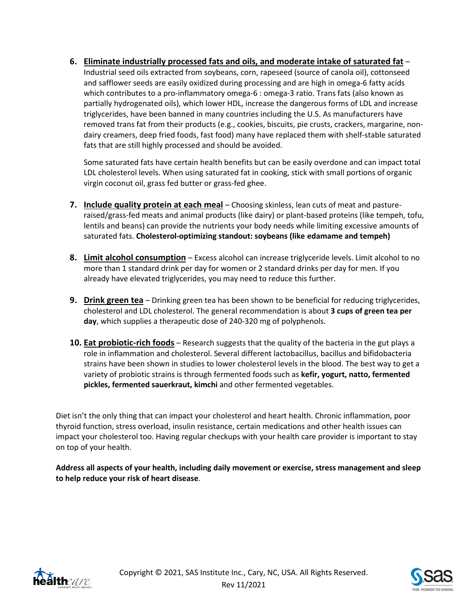**6. Eliminate industrially processed fats and oils, and moderate intake of saturated fat** – Industrial seed oils extracted from soybeans, corn, rapeseed (source of canola oil), cottonseed and safflower seeds are easily oxidized during processing and are high in omega-6 fatty acids which contributes to a pro-inflammatory omega-6 : omega-3 ratio. Trans fats (also known as partially hydrogenated oils), which lower HDL, increase the dangerous forms of LDL and increase triglycerides, have been banned in many countries including the U.S. As manufacturers have removed trans fat from their products (e.g., cookies, biscuits, pie crusts, crackers, margarine, nondairy creamers, deep fried foods, fast food) many have replaced them with shelf-stable saturated fats that are still highly processed and should be avoided.

Some saturated fats have certain health benefits but can be easily overdone and can impact total LDL cholesterol levels. When using saturated fat in cooking, stick with small portions of organic virgin coconut oil, grass fed butter or grass-fed ghee.

- **7. Include quality protein at each meal** Choosing skinless, lean cuts of meat and pastureraised/grass-fed meats and animal products (like dairy) or plant-based proteins (like tempeh, tofu, lentils and beans) can provide the nutrients your body needs while limiting excessive amounts of saturated fats. **Cholesterol-optimizing standout: soybeans (like edamame and tempeh)**
- **8. Limit alcohol consumption** Excess alcohol can increase triglyceride levels. Limit alcohol to no more than 1 standard drink per day for women or 2 standard drinks per day for men. If you already have elevated triglycerides, you may need to reduce this further.
- **9. Drink green tea** Drinking green tea has been shown to be beneficial for reducing triglycerides, cholesterol and LDL cholesterol. The general recommendation is about **3 cups of green tea per day**, which supplies a therapeutic dose of 240-320 mg of polyphenols.
- **10. Eat probiotic-rich foods** Research suggests that the quality of the bacteria in the gut plays a role in inflammation and cholesterol. Several different lactobacillus, bacillus and bifidobacteria strains have been shown in studies to lower cholesterol levels in the blood. The best way to get a variety of probiotic strains is through fermented foods such as **kefir, yogurt, natto, fermented pickles, fermented sauerkraut, kimchi** and other fermented vegetables.

Diet isn't the only thing that can impact your cholesterol and heart health. Chronic inflammation, poor thyroid function, stress overload, insulin resistance, certain medications and other health issues can impact your cholesterol too. Having regular checkups with your health care provider is important to stay on top of your health.

**Address all aspects of your health, including daily movement or exercise, stress management and sleep to help reduce your risk of heart disease**.